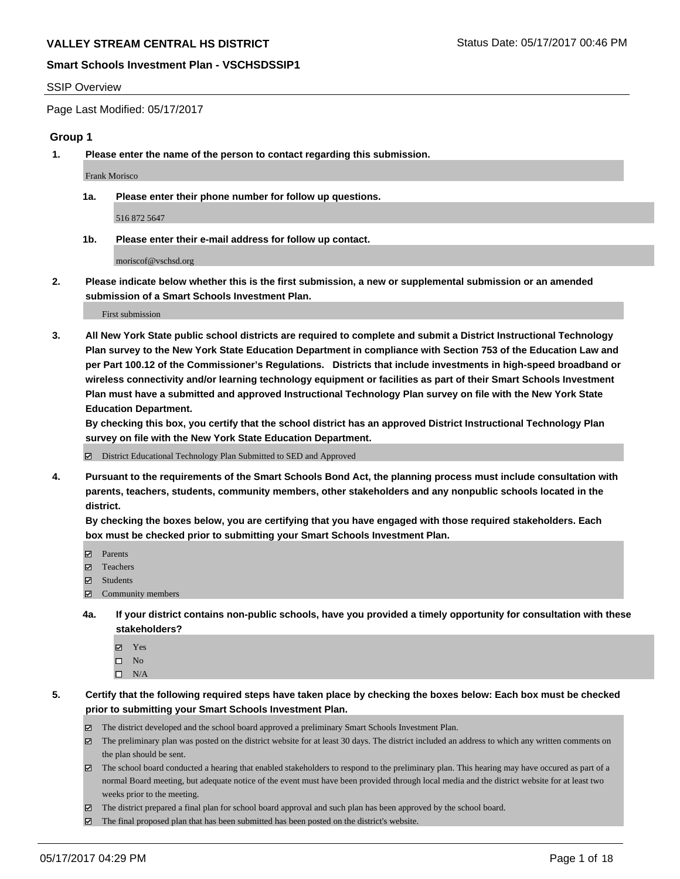#### SSIP Overview

Page Last Modified: 05/17/2017

### **Group 1**

**1. Please enter the name of the person to contact regarding this submission.**

Frank Morisco

**1a. Please enter their phone number for follow up questions.**

516 872 5647

**1b. Please enter their e-mail address for follow up contact.**

moriscof@vschsd.org

**2. Please indicate below whether this is the first submission, a new or supplemental submission or an amended submission of a Smart Schools Investment Plan.**

First submission

**3. All New York State public school districts are required to complete and submit a District Instructional Technology Plan survey to the New York State Education Department in compliance with Section 753 of the Education Law and per Part 100.12 of the Commissioner's Regulations. Districts that include investments in high-speed broadband or wireless connectivity and/or learning technology equipment or facilities as part of their Smart Schools Investment Plan must have a submitted and approved Instructional Technology Plan survey on file with the New York State Education Department.** 

**By checking this box, you certify that the school district has an approved District Instructional Technology Plan survey on file with the New York State Education Department.**

District Educational Technology Plan Submitted to SED and Approved

**4. Pursuant to the requirements of the Smart Schools Bond Act, the planning process must include consultation with parents, teachers, students, community members, other stakeholders and any nonpublic schools located in the district.** 

**By checking the boxes below, you are certifying that you have engaged with those required stakeholders. Each box must be checked prior to submitting your Smart Schools Investment Plan.**

- **マ** Parents
- **□** Teachers
- Students
- $\Xi$  Community members
- **4a. If your district contains non-public schools, have you provided a timely opportunity for consultation with these stakeholders?**
	- Yes
	- $\hfill \square$  No
	- $\square$  N/A
- **5. Certify that the following required steps have taken place by checking the boxes below: Each box must be checked prior to submitting your Smart Schools Investment Plan.**
	- The district developed and the school board approved a preliminary Smart Schools Investment Plan.
	- $\boxtimes$  The preliminary plan was posted on the district website for at least 30 days. The district included an address to which any written comments on the plan should be sent.
	- $\boxtimes$  The school board conducted a hearing that enabled stakeholders to respond to the preliminary plan. This hearing may have occured as part of a normal Board meeting, but adequate notice of the event must have been provided through local media and the district website for at least two weeks prior to the meeting.
	- The district prepared a final plan for school board approval and such plan has been approved by the school board.
	- $\boxtimes$  The final proposed plan that has been submitted has been posted on the district's website.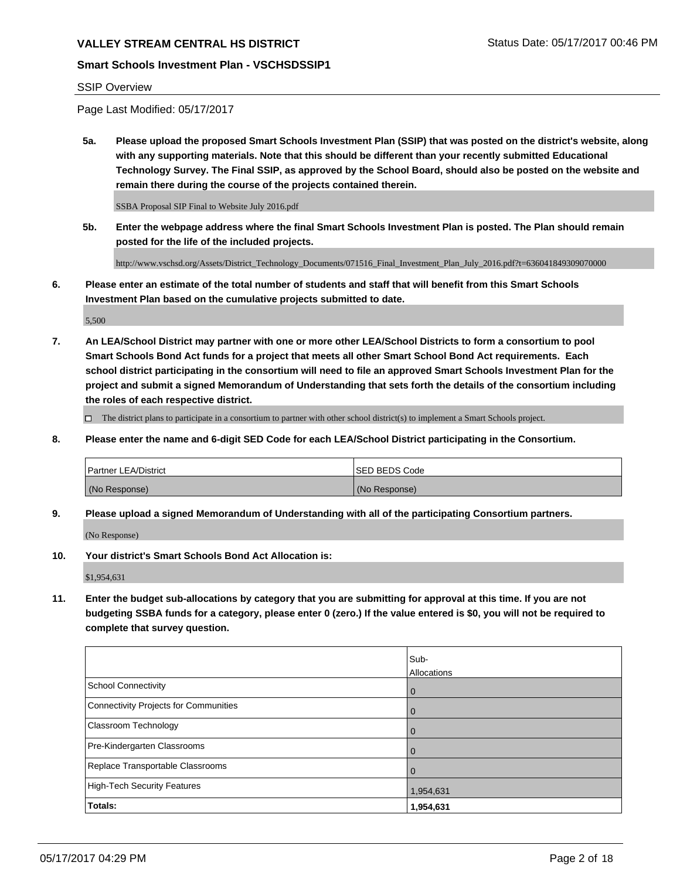# **Smart Schools Investment Plan - VSCHSDSSIP1**

## SSIP Overview

Page Last Modified: 05/17/2017

**5a. Please upload the proposed Smart Schools Investment Plan (SSIP) that was posted on the district's website, along with any supporting materials. Note that this should be different than your recently submitted Educational Technology Survey. The Final SSIP, as approved by the School Board, should also be posted on the website and remain there during the course of the projects contained therein.**

SSBA Proposal SIP Final to Website July 2016.pdf

**5b. Enter the webpage address where the final Smart Schools Investment Plan is posted. The Plan should remain posted for the life of the included projects.**

http://www.vschsd.org/Assets/District\_Technology\_Documents/071516\_Final\_Investment\_Plan\_July\_2016.pdf?t=636041849309070000

**6. Please enter an estimate of the total number of students and staff that will benefit from this Smart Schools Investment Plan based on the cumulative projects submitted to date.**

5,500

**7. An LEA/School District may partner with one or more other LEA/School Districts to form a consortium to pool Smart Schools Bond Act funds for a project that meets all other Smart School Bond Act requirements. Each school district participating in the consortium will need to file an approved Smart Schools Investment Plan for the project and submit a signed Memorandum of Understanding that sets forth the details of the consortium including the roles of each respective district.**

 $\Box$  The district plans to participate in a consortium to partner with other school district(s) to implement a Smart Schools project.

**8. Please enter the name and 6-digit SED Code for each LEA/School District participating in the Consortium.**

| <b>Partner LEA/District</b> | <b>ISED BEDS Code</b> |
|-----------------------------|-----------------------|
| (No Response)               | (No Response)         |

**9. Please upload a signed Memorandum of Understanding with all of the participating Consortium partners.**

(No Response)

**10. Your district's Smart Schools Bond Act Allocation is:**

\$1,954,631

**11. Enter the budget sub-allocations by category that you are submitting for approval at this time. If you are not budgeting SSBA funds for a category, please enter 0 (zero.) If the value entered is \$0, you will not be required to complete that survey question.**

|                                       | Sub-        |
|---------------------------------------|-------------|
|                                       | Allocations |
| <b>School Connectivity</b>            | 0           |
| Connectivity Projects for Communities | 0           |
| <b>Classroom Technology</b>           | 0           |
| Pre-Kindergarten Classrooms           | 0           |
| Replace Transportable Classrooms      | 0           |
| <b>High-Tech Security Features</b>    | 1,954,631   |
| Totals:                               | 1,954,631   |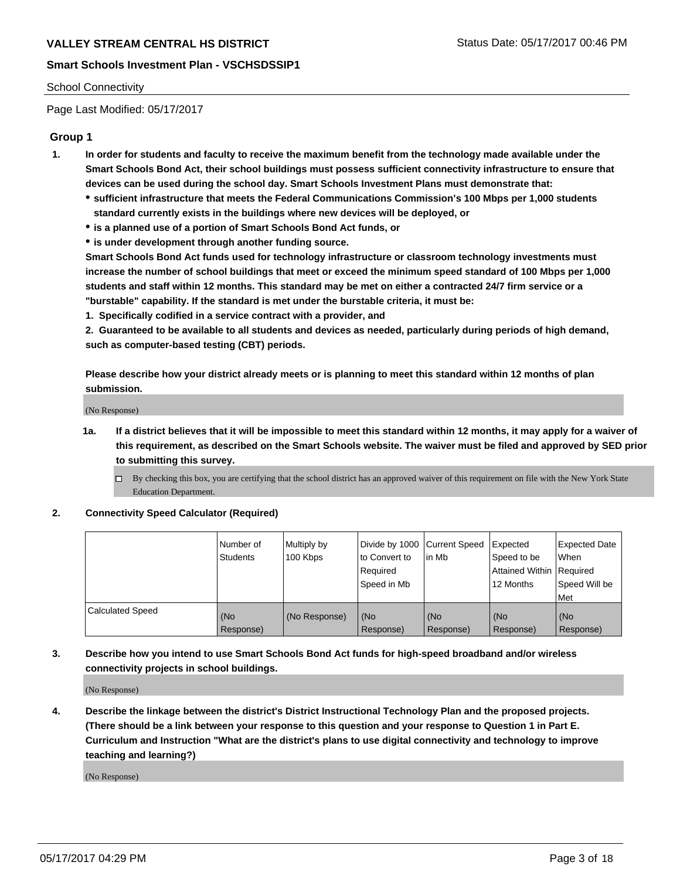#### School Connectivity

Page Last Modified: 05/17/2017

## **Group 1**

- **1. In order for students and faculty to receive the maximum benefit from the technology made available under the Smart Schools Bond Act, their school buildings must possess sufficient connectivity infrastructure to ensure that devices can be used during the school day. Smart Schools Investment Plans must demonstrate that:**
	- **sufficient infrastructure that meets the Federal Communications Commission's 100 Mbps per 1,000 students standard currently exists in the buildings where new devices will be deployed, or**
	- **is a planned use of a portion of Smart Schools Bond Act funds, or**
	- **is under development through another funding source.**

**Smart Schools Bond Act funds used for technology infrastructure or classroom technology investments must increase the number of school buildings that meet or exceed the minimum speed standard of 100 Mbps per 1,000 students and staff within 12 months. This standard may be met on either a contracted 24/7 firm service or a "burstable" capability. If the standard is met under the burstable criteria, it must be:**

**1. Specifically codified in a service contract with a provider, and**

**2. Guaranteed to be available to all students and devices as needed, particularly during periods of high demand, such as computer-based testing (CBT) periods.**

**Please describe how your district already meets or is planning to meet this standard within 12 months of plan submission.**

(No Response)

- **1a. If a district believes that it will be impossible to meet this standard within 12 months, it may apply for a waiver of this requirement, as described on the Smart Schools website. The waiver must be filed and approved by SED prior to submitting this survey.**
	- By checking this box, you are certifying that the school district has an approved waiver of this requirement on file with the New York State Education Department.

#### **2. Connectivity Speed Calculator (Required)**

|                         | l Number of<br><b>Students</b> | Multiply by<br>100 Kbps | Divide by 1000   Current Speed<br>to Convert to<br>Required<br>l Speed in Mb | in Mb            | Expected<br>Speed to be<br>Attained Within Required<br>12 Months | <b>Expected Date</b><br>When<br>Speed Will be<br><b>Met</b> |
|-------------------------|--------------------------------|-------------------------|------------------------------------------------------------------------------|------------------|------------------------------------------------------------------|-------------------------------------------------------------|
| <b>Calculated Speed</b> | (No<br>Response)               | (No Response)           | (No<br>Response)                                                             | (No<br>Response) | (No<br>Response)                                                 | l (No<br>Response)                                          |

## **3. Describe how you intend to use Smart Schools Bond Act funds for high-speed broadband and/or wireless connectivity projects in school buildings.**

(No Response)

**4. Describe the linkage between the district's District Instructional Technology Plan and the proposed projects. (There should be a link between your response to this question and your response to Question 1 in Part E. Curriculum and Instruction "What are the district's plans to use digital connectivity and technology to improve teaching and learning?)**

(No Response)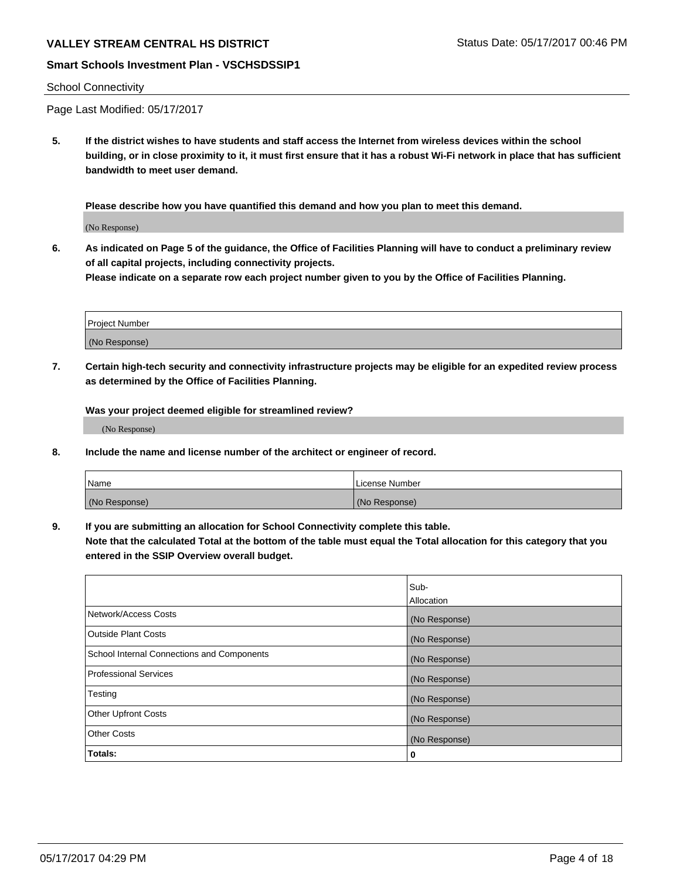# VALLEY STREAM CENTRAL HS DISTRICT **STATUS AND STATUS STATUS DATE: 05/17/2017 00:46 PM**

## **Smart Schools Investment Plan - VSCHSDSSIP1**

#### School Connectivity

Page Last Modified: 05/17/2017

**5. If the district wishes to have students and staff access the Internet from wireless devices within the school building, or in close proximity to it, it must first ensure that it has a robust Wi-Fi network in place that has sufficient bandwidth to meet user demand.**

**Please describe how you have quantified this demand and how you plan to meet this demand.**

(No Response)

**6. As indicated on Page 5 of the guidance, the Office of Facilities Planning will have to conduct a preliminary review of all capital projects, including connectivity projects.**

**Please indicate on a separate row each project number given to you by the Office of Facilities Planning.**

| Project Number |  |
|----------------|--|
| (No Response)  |  |

**7. Certain high-tech security and connectivity infrastructure projects may be eligible for an expedited review process as determined by the Office of Facilities Planning.**

**Was your project deemed eligible for streamlined review?**

(No Response)

**8. Include the name and license number of the architect or engineer of record.**

| Name          | License Number |
|---------------|----------------|
| (No Response) | (No Response)  |

**9. If you are submitting an allocation for School Connectivity complete this table.**

**Note that the calculated Total at the bottom of the table must equal the Total allocation for this category that you entered in the SSIP Overview overall budget.** 

|                                            | Sub-          |
|--------------------------------------------|---------------|
|                                            | Allocation    |
| Network/Access Costs                       | (No Response) |
| Outside Plant Costs                        | (No Response) |
| School Internal Connections and Components | (No Response) |
| <b>Professional Services</b>               | (No Response) |
| Testing                                    | (No Response) |
| <b>Other Upfront Costs</b>                 | (No Response) |
| <b>Other Costs</b>                         | (No Response) |
| Totals:                                    | 0             |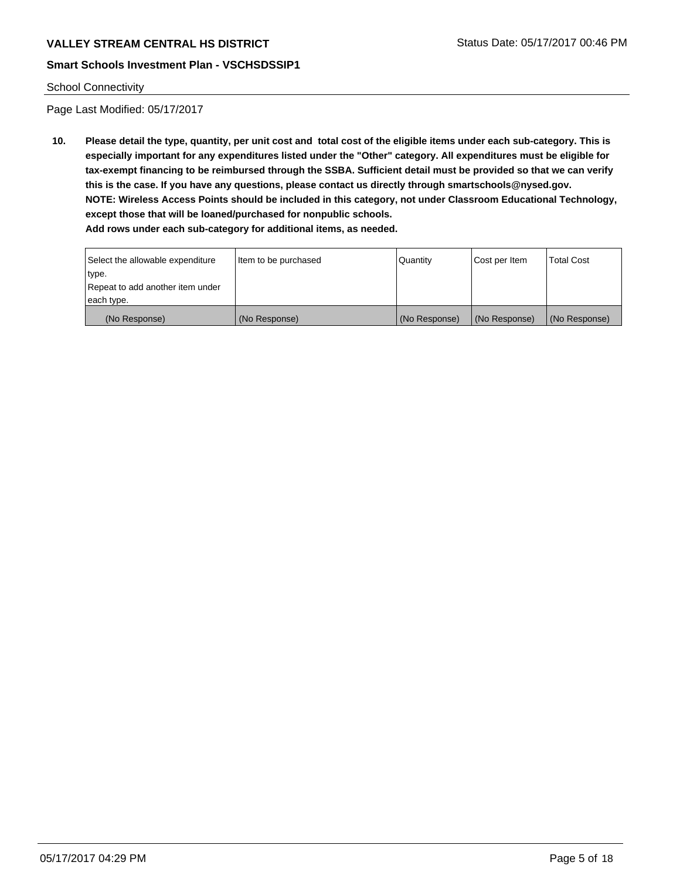# VALLEY STREAM CENTRAL HS DISTRICT **STATUS AND STATUS DATE: 05/17/2017 00:46 PM**

## **Smart Schools Investment Plan - VSCHSDSSIP1**

#### School Connectivity

Page Last Modified: 05/17/2017

**10. Please detail the type, quantity, per unit cost and total cost of the eligible items under each sub-category. This is especially important for any expenditures listed under the "Other" category. All expenditures must be eligible for tax-exempt financing to be reimbursed through the SSBA. Sufficient detail must be provided so that we can verify this is the case. If you have any questions, please contact us directly through smartschools@nysed.gov. NOTE: Wireless Access Points should be included in this category, not under Classroom Educational Technology, except those that will be loaned/purchased for nonpublic schools.**

| Select the allowable expenditure | Item to be purchased | Quantity      | Cost per Item | Total Cost    |
|----------------------------------|----------------------|---------------|---------------|---------------|
| type.                            |                      |               |               |               |
| Repeat to add another item under |                      |               |               |               |
| each type.                       |                      |               |               |               |
| (No Response)                    | (No Response)        | (No Response) | (No Response) | (No Response) |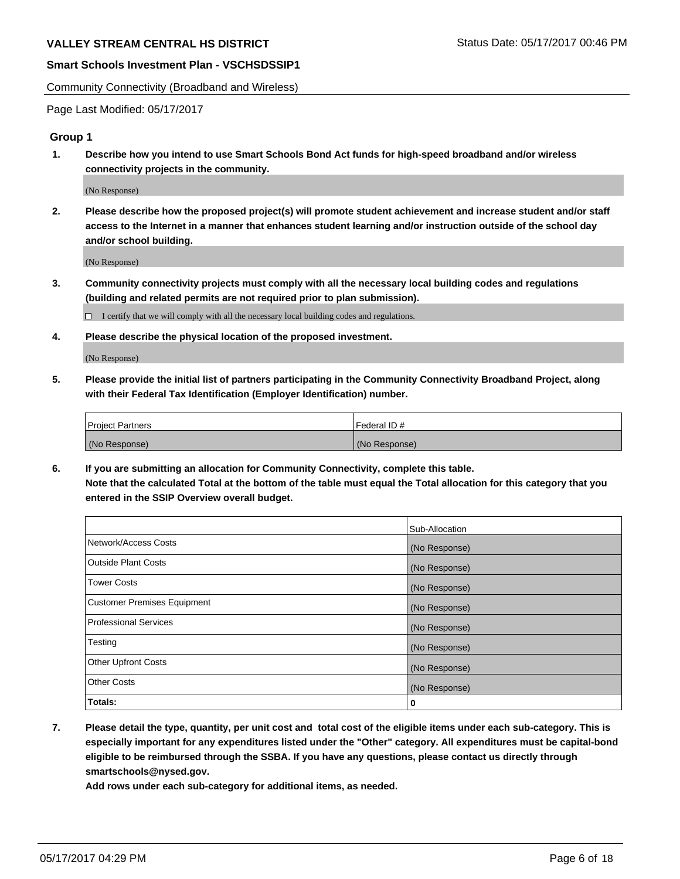Community Connectivity (Broadband and Wireless)

Page Last Modified: 05/17/2017

## **Group 1**

**1. Describe how you intend to use Smart Schools Bond Act funds for high-speed broadband and/or wireless connectivity projects in the community.**

(No Response)

**2. Please describe how the proposed project(s) will promote student achievement and increase student and/or staff access to the Internet in a manner that enhances student learning and/or instruction outside of the school day and/or school building.**

(No Response)

**3. Community connectivity projects must comply with all the necessary local building codes and regulations (building and related permits are not required prior to plan submission).**

 $\Box$  I certify that we will comply with all the necessary local building codes and regulations.

**4. Please describe the physical location of the proposed investment.**

(No Response)

**5. Please provide the initial list of partners participating in the Community Connectivity Broadband Project, along with their Federal Tax Identification (Employer Identification) number.**

| <b>Project Partners</b> | Federal ID#     |
|-------------------------|-----------------|
| (No Response)           | l (No Response) |

**6. If you are submitting an allocation for Community Connectivity, complete this table. Note that the calculated Total at the bottom of the table must equal the Total allocation for this category that you entered in the SSIP Overview overall budget.**

|                                    | Sub-Allocation |
|------------------------------------|----------------|
| Network/Access Costs               | (No Response)  |
| Outside Plant Costs                | (No Response)  |
| <b>Tower Costs</b>                 | (No Response)  |
| <b>Customer Premises Equipment</b> | (No Response)  |
| <b>Professional Services</b>       | (No Response)  |
| Testing                            | (No Response)  |
| <b>Other Upfront Costs</b>         | (No Response)  |
| <b>Other Costs</b>                 | (No Response)  |
| Totals:                            | 0              |

**7. Please detail the type, quantity, per unit cost and total cost of the eligible items under each sub-category. This is especially important for any expenditures listed under the "Other" category. All expenditures must be capital-bond eligible to be reimbursed through the SSBA. If you have any questions, please contact us directly through smartschools@nysed.gov.**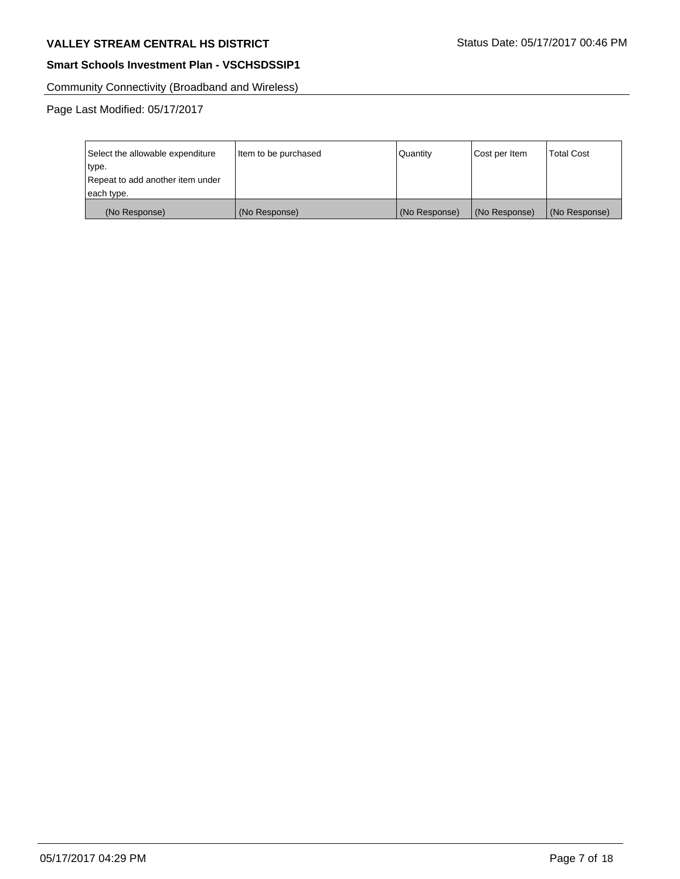# VALLEY STREAM CENTRAL HS DISTRICT **STATUS DATE: 05/17/2017 00:46 PM**

## **Smart Schools Investment Plan - VSCHSDSSIP1**

Community Connectivity (Broadband and Wireless)

| Select the allowable expenditure | Item to be purchased | Quantity      | Cost per Item | <b>Total Cost</b> |
|----------------------------------|----------------------|---------------|---------------|-------------------|
| type.                            |                      |               |               |                   |
| Repeat to add another item under |                      |               |               |                   |
| each type.                       |                      |               |               |                   |
| (No Response)                    | (No Response)        | (No Response) | (No Response) | (No Response)     |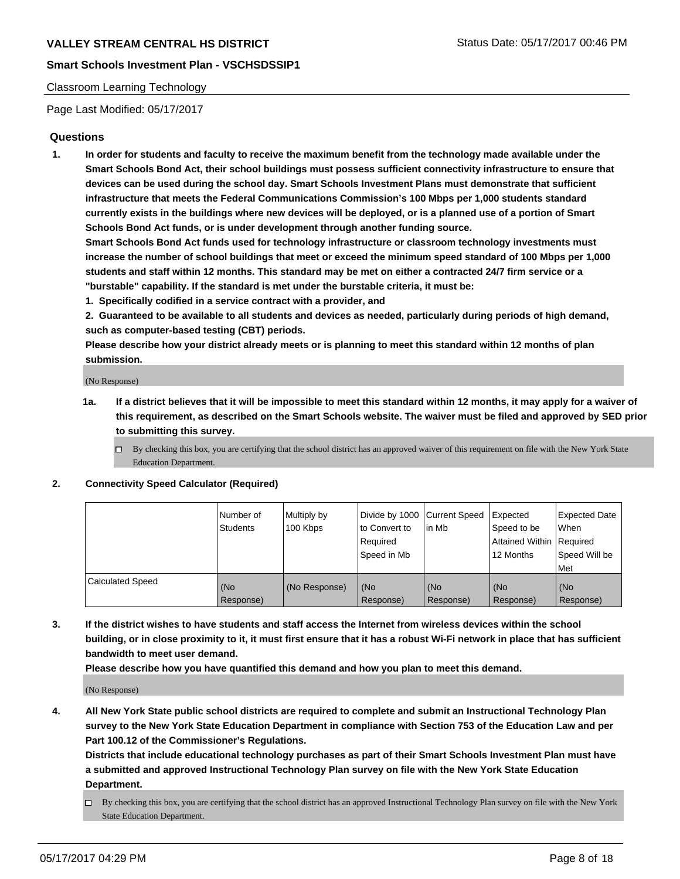## **Smart Schools Investment Plan - VSCHSDSSIP1**

#### Classroom Learning Technology

Page Last Modified: 05/17/2017

### **Questions**

**1. In order for students and faculty to receive the maximum benefit from the technology made available under the Smart Schools Bond Act, their school buildings must possess sufficient connectivity infrastructure to ensure that devices can be used during the school day. Smart Schools Investment Plans must demonstrate that sufficient infrastructure that meets the Federal Communications Commission's 100 Mbps per 1,000 students standard currently exists in the buildings where new devices will be deployed, or is a planned use of a portion of Smart Schools Bond Act funds, or is under development through another funding source.**

**Smart Schools Bond Act funds used for technology infrastructure or classroom technology investments must increase the number of school buildings that meet or exceed the minimum speed standard of 100 Mbps per 1,000 students and staff within 12 months. This standard may be met on either a contracted 24/7 firm service or a "burstable" capability. If the standard is met under the burstable criteria, it must be:**

- **1. Specifically codified in a service contract with a provider, and**
- **2. Guaranteed to be available to all students and devices as needed, particularly during periods of high demand, such as computer-based testing (CBT) periods.**

**Please describe how your district already meets or is planning to meet this standard within 12 months of plan submission.**

(No Response)

- **1a. If a district believes that it will be impossible to meet this standard within 12 months, it may apply for a waiver of this requirement, as described on the Smart Schools website. The waiver must be filed and approved by SED prior to submitting this survey.**
	- $\Box$  By checking this box, you are certifying that the school district has an approved waiver of this requirement on file with the New York State Education Department.

#### **2. Connectivity Speed Calculator (Required)**

|                         | Number of<br><b>Students</b> | Multiply by<br>100 Kbps | Divide by 1000 Current Speed<br>to Convert to<br>Required<br>Speed in Mb | lin Mb           | Expected<br>Speed to be<br>Attained Within Required<br>12 Months | <b>Expected Date</b><br><b>When</b><br>Speed Will be<br>Met |
|-------------------------|------------------------------|-------------------------|--------------------------------------------------------------------------|------------------|------------------------------------------------------------------|-------------------------------------------------------------|
| <b>Calculated Speed</b> | (No<br>Response)             | (No Response)           | (No<br>Response)                                                         | (No<br>Response) | (No<br>Response)                                                 | (No<br>Response)                                            |

**3. If the district wishes to have students and staff access the Internet from wireless devices within the school building, or in close proximity to it, it must first ensure that it has a robust Wi-Fi network in place that has sufficient bandwidth to meet user demand.**

**Please describe how you have quantified this demand and how you plan to meet this demand.**

(No Response)

**4. All New York State public school districts are required to complete and submit an Instructional Technology Plan survey to the New York State Education Department in compliance with Section 753 of the Education Law and per Part 100.12 of the Commissioner's Regulations.**

**Districts that include educational technology purchases as part of their Smart Schools Investment Plan must have a submitted and approved Instructional Technology Plan survey on file with the New York State Education Department.**

 $\Box$  By checking this box, you are certifying that the school district has an approved Instructional Technology Plan survey on file with the New York State Education Department.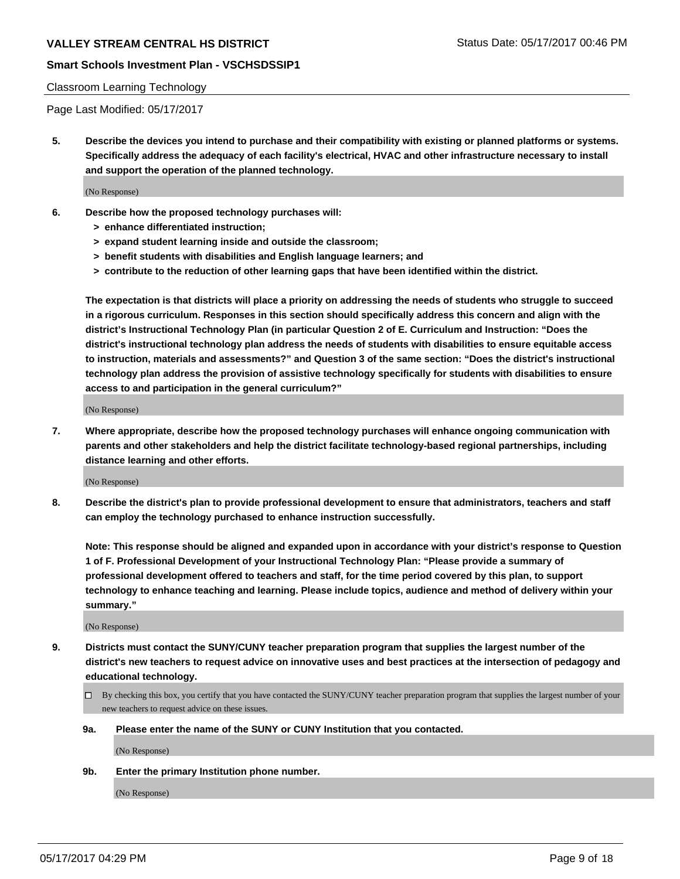## **Smart Schools Investment Plan - VSCHSDSSIP1**

#### Classroom Learning Technology

Page Last Modified: 05/17/2017

**5. Describe the devices you intend to purchase and their compatibility with existing or planned platforms or systems. Specifically address the adequacy of each facility's electrical, HVAC and other infrastructure necessary to install and support the operation of the planned technology.**

(No Response)

- **6. Describe how the proposed technology purchases will:**
	- **> enhance differentiated instruction;**
	- **> expand student learning inside and outside the classroom;**
	- **> benefit students with disabilities and English language learners; and**
	- **> contribute to the reduction of other learning gaps that have been identified within the district.**

**The expectation is that districts will place a priority on addressing the needs of students who struggle to succeed in a rigorous curriculum. Responses in this section should specifically address this concern and align with the district's Instructional Technology Plan (in particular Question 2 of E. Curriculum and Instruction: "Does the district's instructional technology plan address the needs of students with disabilities to ensure equitable access to instruction, materials and assessments?" and Question 3 of the same section: "Does the district's instructional technology plan address the provision of assistive technology specifically for students with disabilities to ensure access to and participation in the general curriculum?"**

(No Response)

**7. Where appropriate, describe how the proposed technology purchases will enhance ongoing communication with parents and other stakeholders and help the district facilitate technology-based regional partnerships, including distance learning and other efforts.**

(No Response)

**8. Describe the district's plan to provide professional development to ensure that administrators, teachers and staff can employ the technology purchased to enhance instruction successfully.**

**Note: This response should be aligned and expanded upon in accordance with your district's response to Question 1 of F. Professional Development of your Instructional Technology Plan: "Please provide a summary of professional development offered to teachers and staff, for the time period covered by this plan, to support technology to enhance teaching and learning. Please include topics, audience and method of delivery within your summary."**

(No Response)

- **9. Districts must contact the SUNY/CUNY teacher preparation program that supplies the largest number of the district's new teachers to request advice on innovative uses and best practices at the intersection of pedagogy and educational technology.**
	- By checking this box, you certify that you have contacted the SUNY/CUNY teacher preparation program that supplies the largest number of your new teachers to request advice on these issues.
	- **9a. Please enter the name of the SUNY or CUNY Institution that you contacted.**

(No Response)

**9b. Enter the primary Institution phone number.**

(No Response)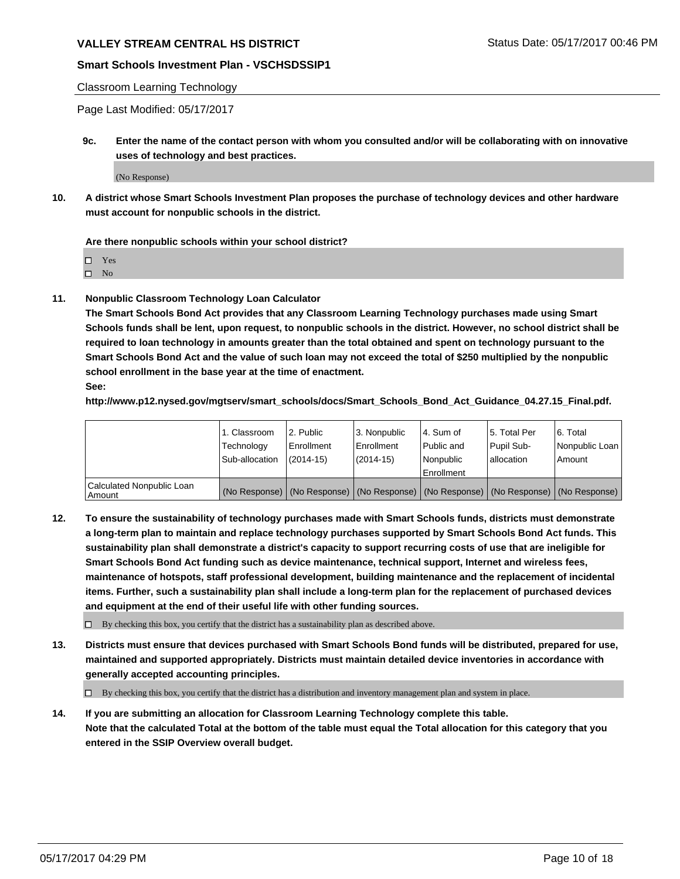## **Smart Schools Investment Plan - VSCHSDSSIP1**

#### Classroom Learning Technology

Page Last Modified: 05/17/2017

**9c. Enter the name of the contact person with whom you consulted and/or will be collaborating with on innovative uses of technology and best practices.**

(No Response)

**10. A district whose Smart Schools Investment Plan proposes the purchase of technology devices and other hardware must account for nonpublic schools in the district.**

**Are there nonpublic schools within your school district?**

Yes

 $\square$  No

**11. Nonpublic Classroom Technology Loan Calculator**

**The Smart Schools Bond Act provides that any Classroom Learning Technology purchases made using Smart Schools funds shall be lent, upon request, to nonpublic schools in the district. However, no school district shall be required to loan technology in amounts greater than the total obtained and spent on technology pursuant to the Smart Schools Bond Act and the value of such loan may not exceed the total of \$250 multiplied by the nonpublic school enrollment in the base year at the time of enactment.**

**See:**

**http://www.p12.nysed.gov/mgtserv/smart\_schools/docs/Smart\_Schools\_Bond\_Act\_Guidance\_04.27.15\_Final.pdf.**

|                                       | 1. Classroom<br>Technology | l 2. Public<br>Enrollment | 3. Nonpublic<br>Enrollment | l 4. Sum of<br>Public and | 15. Total Per<br>Pupil Sub- | 6. Total<br>Nonpublic Loan                                                                    |
|---------------------------------------|----------------------------|---------------------------|----------------------------|---------------------------|-----------------------------|-----------------------------------------------------------------------------------------------|
|                                       | Sub-allocation             | $(2014-15)$               | $(2014-15)$                | l Nonpublic               | allocation                  | Amount                                                                                        |
|                                       |                            |                           |                            | Enrollment                |                             |                                                                                               |
| Calculated Nonpublic Loan<br>  Amount |                            |                           |                            |                           |                             | (No Response)   (No Response)   (No Response)   (No Response)   (No Response)   (No Response) |

**12. To ensure the sustainability of technology purchases made with Smart Schools funds, districts must demonstrate a long-term plan to maintain and replace technology purchases supported by Smart Schools Bond Act funds. This sustainability plan shall demonstrate a district's capacity to support recurring costs of use that are ineligible for Smart Schools Bond Act funding such as device maintenance, technical support, Internet and wireless fees, maintenance of hotspots, staff professional development, building maintenance and the replacement of incidental items. Further, such a sustainability plan shall include a long-term plan for the replacement of purchased devices and equipment at the end of their useful life with other funding sources.**

 $\Box$  By checking this box, you certify that the district has a sustainability plan as described above.

**13. Districts must ensure that devices purchased with Smart Schools Bond funds will be distributed, prepared for use, maintained and supported appropriately. Districts must maintain detailed device inventories in accordance with generally accepted accounting principles.**

By checking this box, you certify that the district has a distribution and inventory management plan and system in place.

**14. If you are submitting an allocation for Classroom Learning Technology complete this table. Note that the calculated Total at the bottom of the table must equal the Total allocation for this category that you entered in the SSIP Overview overall budget.**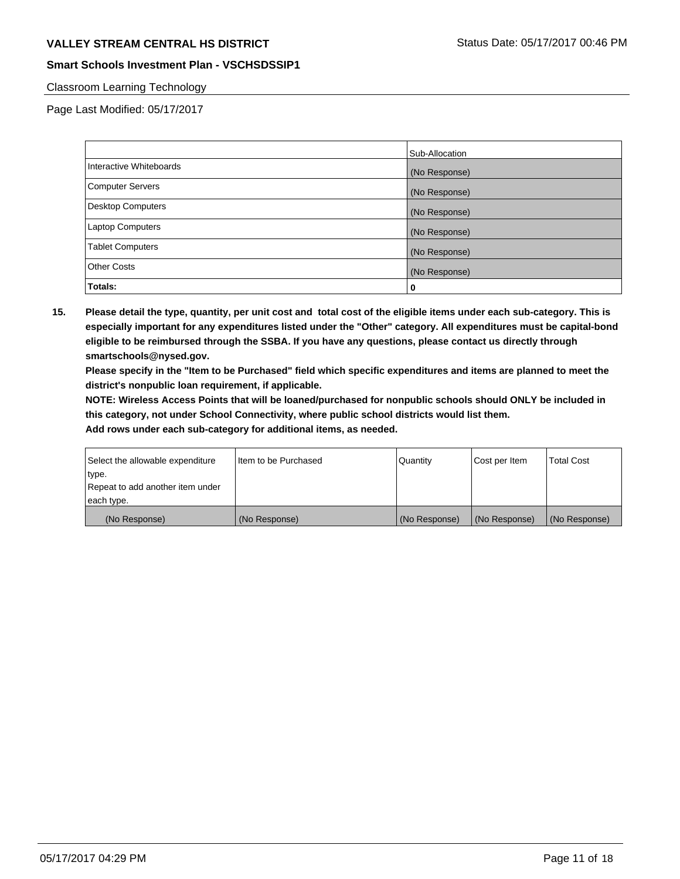# VALLEY STREAM CENTRAL HS DISTRICT **STATUS AND STATUS DATE: 05/17/2017 00:46 PM**

## **Smart Schools Investment Plan - VSCHSDSSIP1**

### Classroom Learning Technology

Page Last Modified: 05/17/2017

|                         | Sub-Allocation |
|-------------------------|----------------|
| Interactive Whiteboards | (No Response)  |
| Computer Servers        | (No Response)  |
| Desktop Computers       | (No Response)  |
| <b>Laptop Computers</b> | (No Response)  |
| <b>Tablet Computers</b> | (No Response)  |
| <b>Other Costs</b>      | (No Response)  |
| Totals:                 | 0              |

**15. Please detail the type, quantity, per unit cost and total cost of the eligible items under each sub-category. This is especially important for any expenditures listed under the "Other" category. All expenditures must be capital-bond eligible to be reimbursed through the SSBA. If you have any questions, please contact us directly through smartschools@nysed.gov.**

**Please specify in the "Item to be Purchased" field which specific expenditures and items are planned to meet the district's nonpublic loan requirement, if applicable.**

**NOTE: Wireless Access Points that will be loaned/purchased for nonpublic schools should ONLY be included in this category, not under School Connectivity, where public school districts would list them.**

| (No Response)                    | (No Response)        | (No Response) | (No Response) | (No Response)     |
|----------------------------------|----------------------|---------------|---------------|-------------------|
| each type.                       |                      |               |               |                   |
| Repeat to add another item under |                      |               |               |                   |
| ∣type.                           |                      |               |               |                   |
| Select the allowable expenditure | Item to be Purchased | Quantity      | Cost per Item | <b>Total Cost</b> |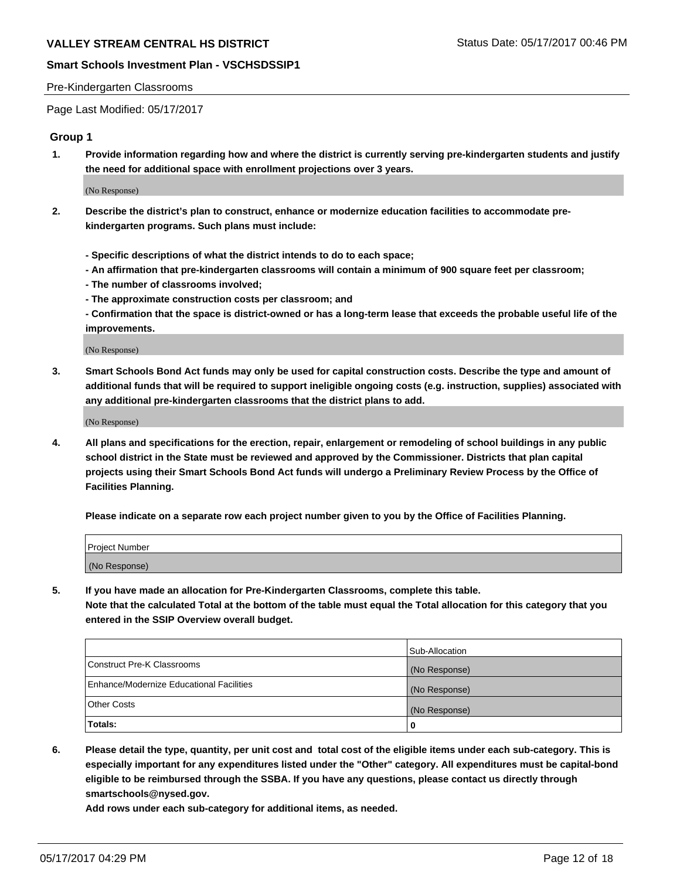#### Pre-Kindergarten Classrooms

Page Last Modified: 05/17/2017

### **Group 1**

**1. Provide information regarding how and where the district is currently serving pre-kindergarten students and justify the need for additional space with enrollment projections over 3 years.**

(No Response)

- **2. Describe the district's plan to construct, enhance or modernize education facilities to accommodate prekindergarten programs. Such plans must include:**
	- **Specific descriptions of what the district intends to do to each space;**
	- **An affirmation that pre-kindergarten classrooms will contain a minimum of 900 square feet per classroom;**
	- **The number of classrooms involved;**
	- **The approximate construction costs per classroom; and**
	- **Confirmation that the space is district-owned or has a long-term lease that exceeds the probable useful life of the improvements.**

(No Response)

**3. Smart Schools Bond Act funds may only be used for capital construction costs. Describe the type and amount of additional funds that will be required to support ineligible ongoing costs (e.g. instruction, supplies) associated with any additional pre-kindergarten classrooms that the district plans to add.**

(No Response)

**4. All plans and specifications for the erection, repair, enlargement or remodeling of school buildings in any public school district in the State must be reviewed and approved by the Commissioner. Districts that plan capital projects using their Smart Schools Bond Act funds will undergo a Preliminary Review Process by the Office of Facilities Planning.**

**Please indicate on a separate row each project number given to you by the Office of Facilities Planning.**

| Project Number |  |
|----------------|--|
| (No Response)  |  |

**5. If you have made an allocation for Pre-Kindergarten Classrooms, complete this table. Note that the calculated Total at the bottom of the table must equal the Total allocation for this category that you entered in the SSIP Overview overall budget.**

|                                          | Sub-Allocation |
|------------------------------------------|----------------|
| Construct Pre-K Classrooms               | (No Response)  |
| Enhance/Modernize Educational Facilities | (No Response)  |
| Other Costs                              | (No Response)  |
| Totals:                                  | 0              |

**6. Please detail the type, quantity, per unit cost and total cost of the eligible items under each sub-category. This is especially important for any expenditures listed under the "Other" category. All expenditures must be capital-bond eligible to be reimbursed through the SSBA. If you have any questions, please contact us directly through smartschools@nysed.gov.**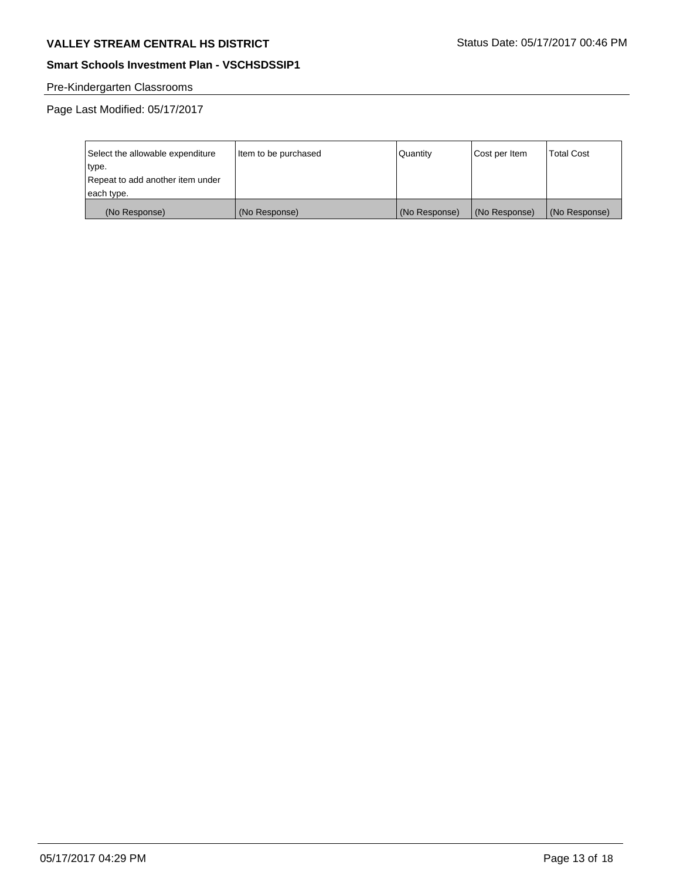# VALLEY STREAM CENTRAL HS DISTRICT **STATUS DATE: 05/17/2017 00:46 PM**

# **Smart Schools Investment Plan - VSCHSDSSIP1**

# Pre-Kindergarten Classrooms

| Select the allowable expenditure | Item to be purchased | Quantity      | Cost per Item | <b>Total Cost</b> |
|----------------------------------|----------------------|---------------|---------------|-------------------|
| type.                            |                      |               |               |                   |
| Repeat to add another item under |                      |               |               |                   |
| each type.                       |                      |               |               |                   |
| (No Response)                    | (No Response)        | (No Response) | (No Response) | (No Response)     |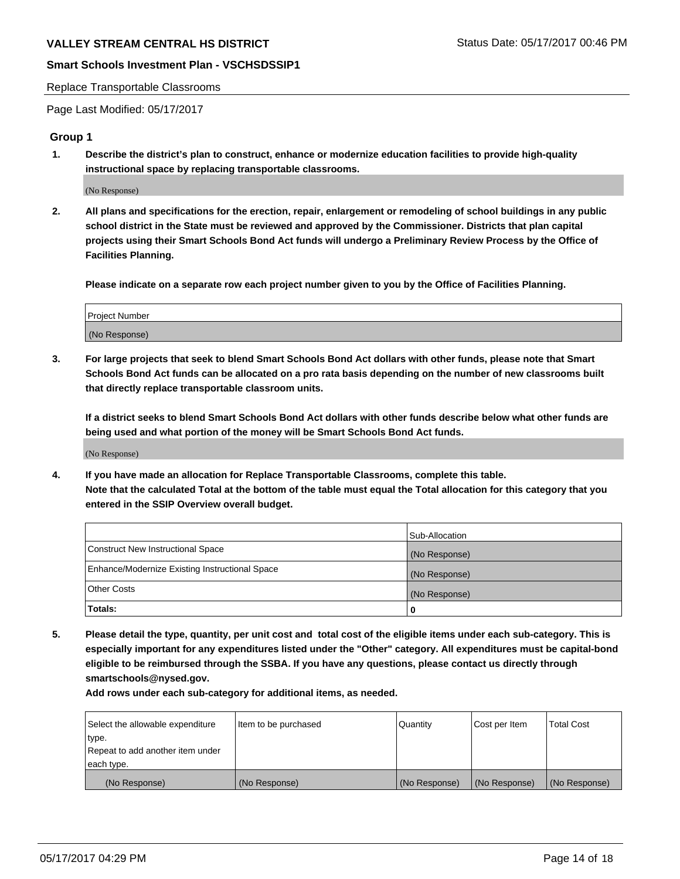#### Replace Transportable Classrooms

Page Last Modified: 05/17/2017

#### **Group 1**

**1. Describe the district's plan to construct, enhance or modernize education facilities to provide high-quality instructional space by replacing transportable classrooms.**

(No Response)

**2. All plans and specifications for the erection, repair, enlargement or remodeling of school buildings in any public school district in the State must be reviewed and approved by the Commissioner. Districts that plan capital projects using their Smart Schools Bond Act funds will undergo a Preliminary Review Process by the Office of Facilities Planning.**

**Please indicate on a separate row each project number given to you by the Office of Facilities Planning.**

| Project Number |  |
|----------------|--|
| (No Response)  |  |

**3. For large projects that seek to blend Smart Schools Bond Act dollars with other funds, please note that Smart Schools Bond Act funds can be allocated on a pro rata basis depending on the number of new classrooms built that directly replace transportable classroom units.**

**If a district seeks to blend Smart Schools Bond Act dollars with other funds describe below what other funds are being used and what portion of the money will be Smart Schools Bond Act funds.**

(No Response)

**4. If you have made an allocation for Replace Transportable Classrooms, complete this table. Note that the calculated Total at the bottom of the table must equal the Total allocation for this category that you entered in the SSIP Overview overall budget.**

|                                                | Sub-Allocation |
|------------------------------------------------|----------------|
| Construct New Instructional Space              | (No Response)  |
| Enhance/Modernize Existing Instructional Space | (No Response)  |
| Other Costs                                    | (No Response)  |
| Totals:                                        | $\Omega$       |

**5. Please detail the type, quantity, per unit cost and total cost of the eligible items under each sub-category. This is especially important for any expenditures listed under the "Other" category. All expenditures must be capital-bond eligible to be reimbursed through the SSBA. If you have any questions, please contact us directly through smartschools@nysed.gov.**

| Select the allowable expenditure | Item to be purchased | Quantity      | Cost per Item | <b>Total Cost</b> |
|----------------------------------|----------------------|---------------|---------------|-------------------|
| type.                            |                      |               |               |                   |
| Repeat to add another item under |                      |               |               |                   |
| each type.                       |                      |               |               |                   |
| (No Response)                    | (No Response)        | (No Response) | (No Response) | (No Response)     |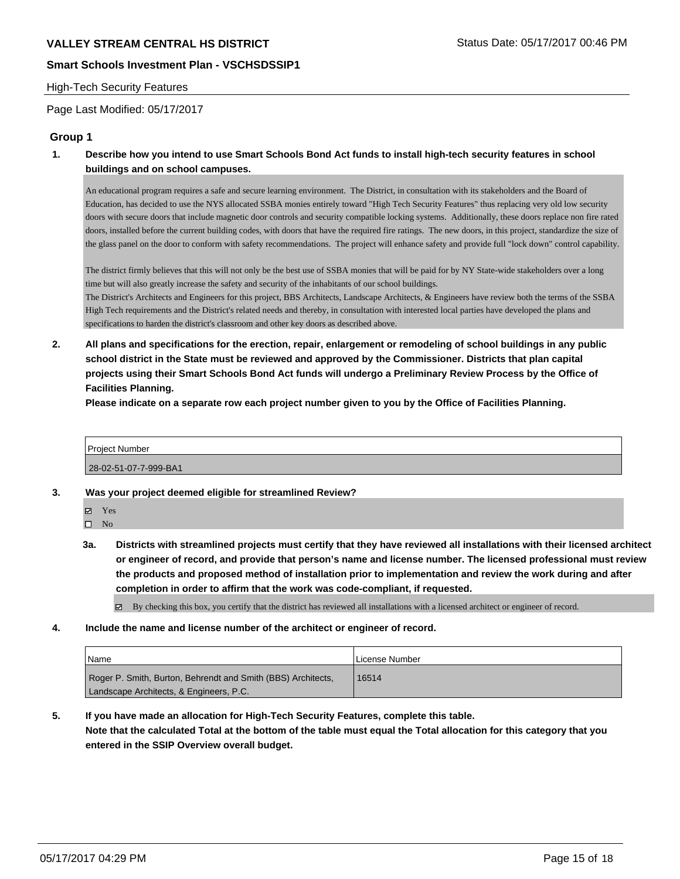#### High-Tech Security Features

Page Last Modified: 05/17/2017

## **Group 1**

**1. Describe how you intend to use Smart Schools Bond Act funds to install high-tech security features in school buildings and on school campuses.**

An educational program requires a safe and secure learning environment. The District, in consultation with its stakeholders and the Board of Education, has decided to use the NYS allocated SSBA monies entirely toward "High Tech Security Features" thus replacing very old low security doors with secure doors that include magnetic door controls and security compatible locking systems. Additionally, these doors replace non fire rated doors, installed before the current building codes, with doors that have the required fire ratings. The new doors, in this project, standardize the size of the glass panel on the door to conform with safety recommendations. The project will enhance safety and provide full "lock down" control capability.

The district firmly believes that this will not only be the best use of SSBA monies that will be paid for by NY State-wide stakeholders over a long time but will also greatly increase the safety and security of the inhabitants of our school buildings.

The District's Architects and Engineers for this project, BBS Architects, Landscape Architects, & Engineers have review both the terms of the SSBA High Tech requirements and the District's related needs and thereby, in consultation with interested local parties have developed the plans and specifications to harden the district's classroom and other key doors as described above.

**2. All plans and specifications for the erection, repair, enlargement or remodeling of school buildings in any public school district in the State must be reviewed and approved by the Commissioner. Districts that plan capital projects using their Smart Schools Bond Act funds will undergo a Preliminary Review Process by the Office of Facilities Planning.** 

**Please indicate on a separate row each project number given to you by the Office of Facilities Planning.**



- **3. Was your project deemed eligible for streamlined Review?**
	- **Ø** Yes

 $\square$  No

**3a. Districts with streamlined projects must certify that they have reviewed all installations with their licensed architect or engineer of record, and provide that person's name and license number. The licensed professional must review the products and proposed method of installation prior to implementation and review the work during and after completion in order to affirm that the work was code-compliant, if requested.**

 $\boxtimes$  By checking this box, you certify that the district has reviewed all installations with a licensed architect or engineer of record.

**4. Include the name and license number of the architect or engineer of record.**

| Name                                                         | License Number |
|--------------------------------------------------------------|----------------|
| Roger P. Smith, Burton, Behrendt and Smith (BBS) Architects, | 16514          |
| Landscape Architects, & Engineers, P.C.                      |                |

**5. If you have made an allocation for High-Tech Security Features, complete this table. Note that the calculated Total at the bottom of the table must equal the Total allocation for this category that you entered in the SSIP Overview overall budget.**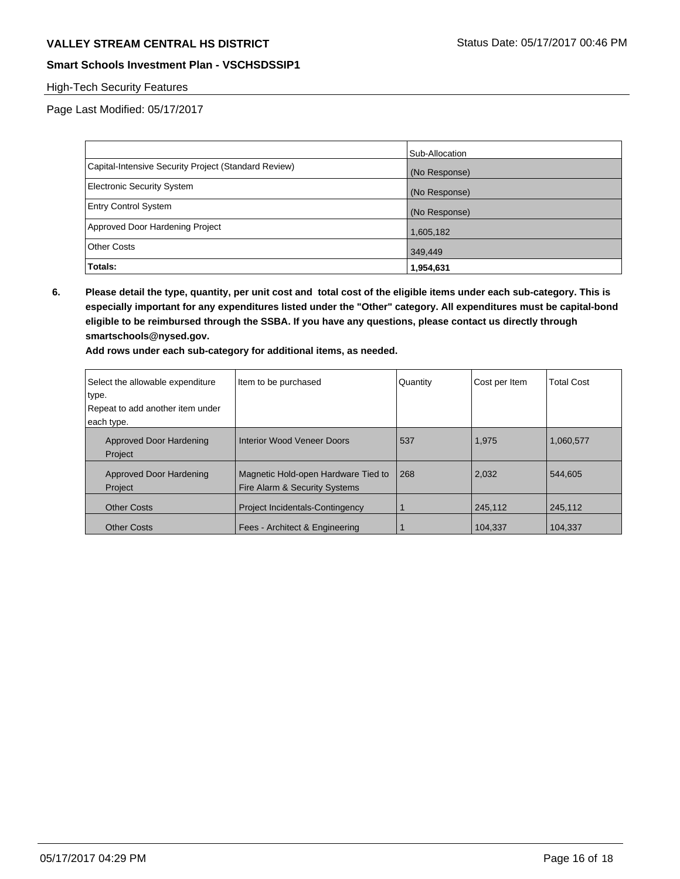# VALLEY STREAM CENTRAL HS DISTRICT **STATUS DATE: 05/17/2017 00:46 PM**

## **Smart Schools Investment Plan - VSCHSDSSIP1**

## High-Tech Security Features

Page Last Modified: 05/17/2017

|                                                      | Sub-Allocation |
|------------------------------------------------------|----------------|
| Capital-Intensive Security Project (Standard Review) | (No Response)  |
| <b>Electronic Security System</b>                    | (No Response)  |
| <b>Entry Control System</b>                          | (No Response)  |
| Approved Door Hardening Project                      | 1,605,182      |
| <b>Other Costs</b>                                   | 349,449        |
| Totals:                                              | 1,954,631      |

**6. Please detail the type, quantity, per unit cost and total cost of the eligible items under each sub-category. This is especially important for any expenditures listed under the "Other" category. All expenditures must be capital-bond eligible to be reimbursed through the SSBA. If you have any questions, please contact us directly through smartschools@nysed.gov.**

| Select the allowable expenditure | Item to be purchased                   | Quantity | Cost per Item | <b>Total Cost</b> |
|----------------------------------|----------------------------------------|----------|---------------|-------------------|
| type.                            |                                        |          |               |                   |
| Repeat to add another item under |                                        |          |               |                   |
| each type.                       |                                        |          |               |                   |
| Approved Door Hardening          | Interior Wood Veneer Doors             | 537      | 1,975         | 1,060,577         |
| Project                          |                                        |          |               |                   |
| Approved Door Hardening          | Magnetic Hold-open Hardware Tied to    | 268      | 2,032         | 544.605           |
| Project                          | Fire Alarm & Security Systems          |          |               |                   |
| <b>Other Costs</b>               | <b>Project Incidentals-Contingency</b> |          | 245,112       | 245,112           |
| <b>Other Costs</b>               | Fees - Architect & Engineering         |          | 104.337       | 104,337           |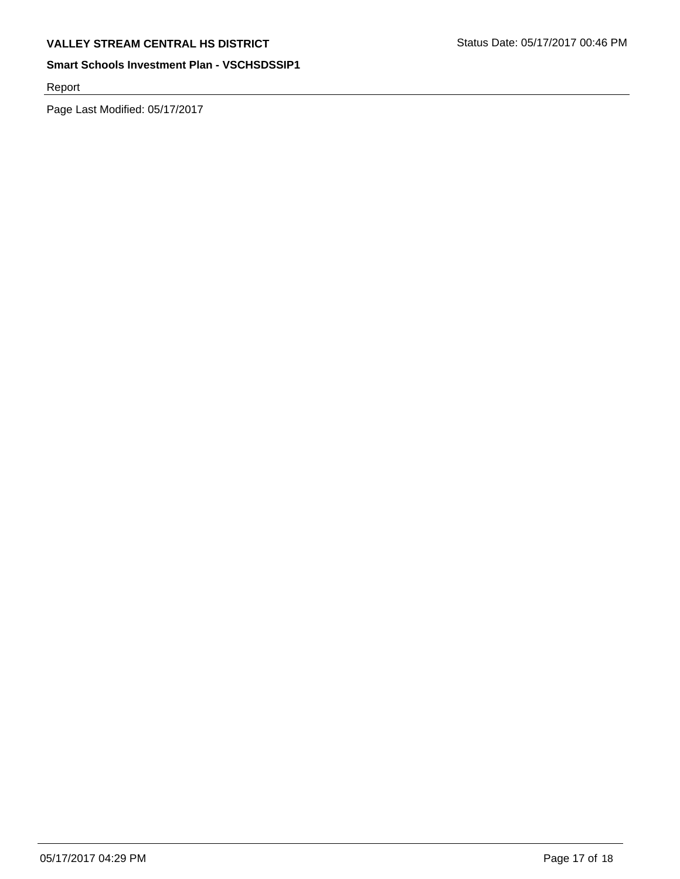Report